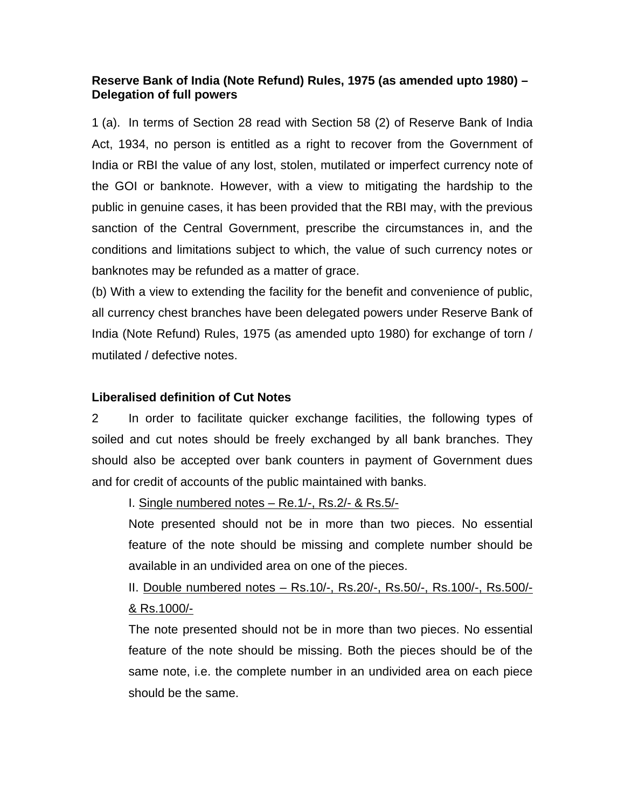## **Reserve Bank of India (Note Refund) Rules, 1975 (as amended upto 1980) – Delegation of full powers**

1 (a). In terms of Section 28 read with Section 58 (2) of Reserve Bank of India Act, 1934, no person is entitled as a right to recover from the Government of India or RBI the value of any lost, stolen, mutilated or imperfect currency note of the GOI or banknote. However, with a view to mitigating the hardship to the public in genuine cases, it has been provided that the RBI may, with the previous sanction of the Central Government, prescribe the circumstances in, and the conditions and limitations subject to which, the value of such currency notes or banknotes may be refunded as a matter of grace.

(b) With a view to extending the facility for the benefit and convenience of public, all currency chest branches have been delegated powers under Reserve Bank of India (Note Refund) Rules, 1975 (as amended upto 1980) for exchange of torn / mutilated / defective notes.

## **Liberalised definition of Cut Notes**

2 In order to facilitate quicker exchange facilities, the following types of soiled and cut notes should be freely exchanged by all bank branches. They should also be accepted over bank counters in payment of Government dues and for credit of accounts of the public maintained with banks.

I. Single numbered notes – Re.1/-, Rs.2/- & Rs.5/-

Note presented should not be in more than two pieces. No essential feature of the note should be missing and complete number should be available in an undivided area on one of the pieces.

II. Double numbered notes – Rs.10/-, Rs.20/-, Rs.50/-, Rs.100/-, Rs.500/- & Rs.1000/-

The note presented should not be in more than two pieces. No essential feature of the note should be missing. Both the pieces should be of the same note, i.e. the complete number in an undivided area on each piece should be the same.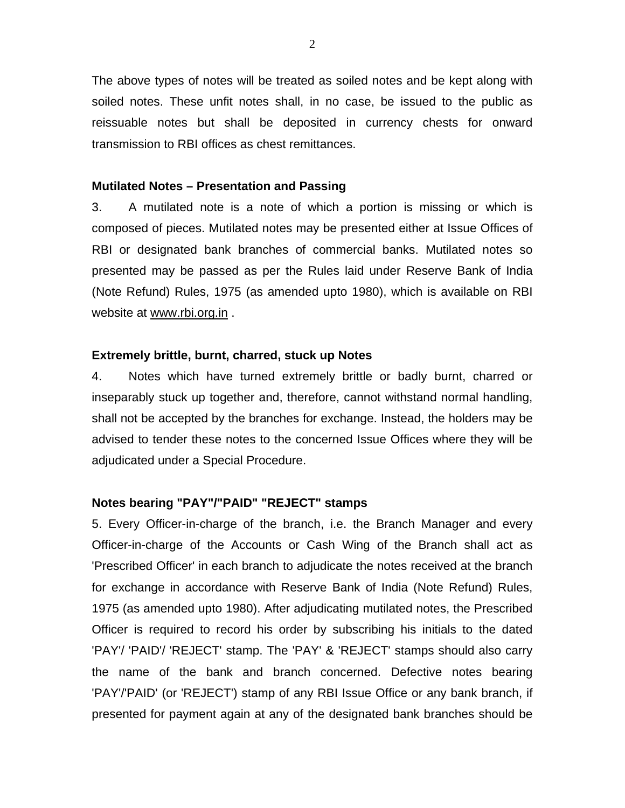The above types of notes will be treated as soiled notes and be kept along with soiled notes. These unfit notes shall, in no case, be issued to the public as reissuable notes but shall be deposited in currency chests for onward transmission to RBI offices as chest remittances.

### **Mutilated Notes – Presentation and Passing**

3. A mutilated note is a note of which a portion is missing or which is composed of pieces. Mutilated notes may be presented either at Issue Offices of RBI or designated bank branches of commercial banks. Mutilated notes so presented may be passed as per the Rules laid under Reserve Bank of India (Note Refund) Rules, 1975 (as amended upto 1980), which is available on RBI website at www.rbi.org.in .

## **Extremely brittle, burnt, charred, stuck up Notes**

4. Notes which have turned extremely brittle or badly burnt, charred or inseparably stuck up together and, therefore, cannot withstand normal handling, shall not be accepted by the branches for exchange. Instead, the holders may be advised to tender these notes to the concerned Issue Offices where they will be adjudicated under a Special Procedure.

### **Notes bearing "PAY"/"PAID" "REJECT" stamps**

5. Every Officer-in-charge of the branch, i.e. the Branch Manager and every Officer-in-charge of the Accounts or Cash Wing of the Branch shall act as 'Prescribed Officer' in each branch to adjudicate the notes received at the branch for exchange in accordance with Reserve Bank of India (Note Refund) Rules, 1975 (as amended upto 1980). After adjudicating mutilated notes, the Prescribed Officer is required to record his order by subscribing his initials to the dated 'PAY'/ 'PAID'/ 'REJECT' stamp. The 'PAY' & 'REJECT' stamps should also carry the name of the bank and branch concerned. Defective notes bearing 'PAY'/'PAID' (or 'REJECT') stamp of any RBI Issue Office or any bank branch, if presented for payment again at any of the designated bank branches should be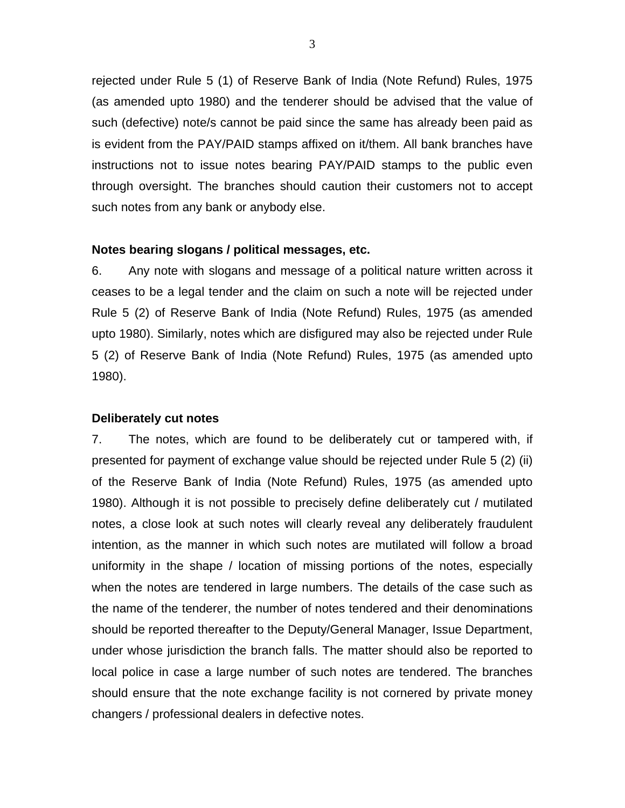rejected under Rule 5 (1) of Reserve Bank of India (Note Refund) Rules, 1975 (as amended upto 1980) and the tenderer should be advised that the value of such (defective) note/s cannot be paid since the same has already been paid as is evident from the PAY/PAID stamps affixed on it/them. All bank branches have instructions not to issue notes bearing PAY/PAID stamps to the public even through oversight. The branches should caution their customers not to accept such notes from any bank or anybody else.

#### **Notes bearing slogans / political messages, etc.**

6. Any note with slogans and message of a political nature written across it ceases to be a legal tender and the claim on such a note will be rejected under Rule 5 (2) of Reserve Bank of India (Note Refund) Rules, 1975 (as amended upto 1980). Similarly, notes which are disfigured may also be rejected under Rule 5 (2) of Reserve Bank of India (Note Refund) Rules, 1975 (as amended upto 1980).

#### **Deliberately cut notes**

7. The notes, which are found to be deliberately cut or tampered with, if presented for payment of exchange value should be rejected under Rule 5 (2) (ii) of the Reserve Bank of India (Note Refund) Rules, 1975 (as amended upto 1980). Although it is not possible to precisely define deliberately cut / mutilated notes, a close look at such notes will clearly reveal any deliberately fraudulent intention, as the manner in which such notes are mutilated will follow a broad uniformity in the shape / location of missing portions of the notes, especially when the notes are tendered in large numbers. The details of the case such as the name of the tenderer, the number of notes tendered and their denominations should be reported thereafter to the Deputy/General Manager, Issue Department, under whose jurisdiction the branch falls. The matter should also be reported to local police in case a large number of such notes are tendered. The branches should ensure that the note exchange facility is not cornered by private money changers / professional dealers in defective notes.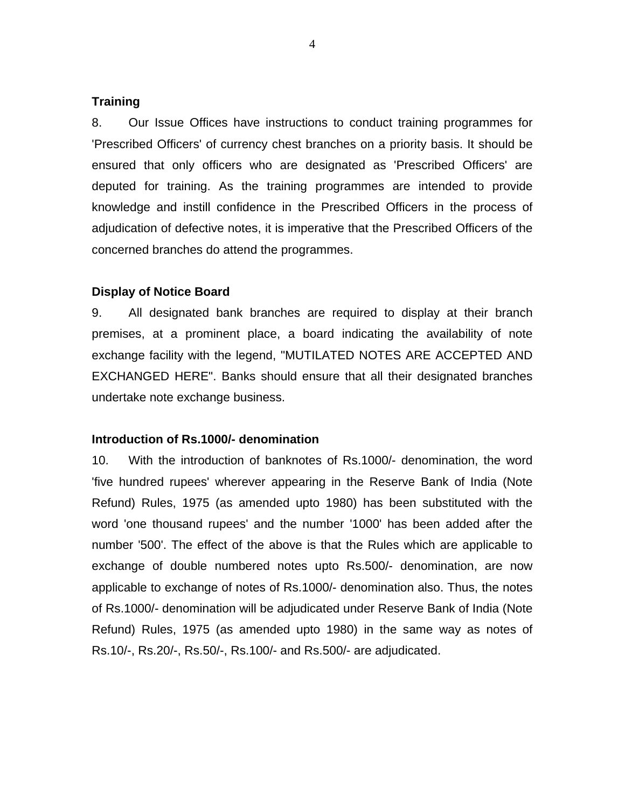#### **Training**

8. Our Issue Offices have instructions to conduct training programmes for 'Prescribed Officers' of currency chest branches on a priority basis. It should be ensured that only officers who are designated as 'Prescribed Officers' are deputed for training. As the training programmes are intended to provide knowledge and instill confidence in the Prescribed Officers in the process of adjudication of defective notes, it is imperative that the Prescribed Officers of the concerned branches do attend the programmes.

## **Display of Notice Board**

9. All designated bank branches are required to display at their branch premises, at a prominent place, a board indicating the availability of note exchange facility with the legend, "MUTILATED NOTES ARE ACCEPTED AND EXCHANGED HERE". Banks should ensure that all their designated branches undertake note exchange business.

#### **Introduction of Rs.1000/- denomination**

10. With the introduction of banknotes of Rs.1000/- denomination, the word 'five hundred rupees' wherever appearing in the Reserve Bank of India (Note Refund) Rules, 1975 (as amended upto 1980) has been substituted with the word 'one thousand rupees' and the number '1000' has been added after the number '500'. The effect of the above is that the Rules which are applicable to exchange of double numbered notes upto Rs.500/- denomination, are now applicable to exchange of notes of Rs.1000/- denomination also. Thus, the notes of Rs.1000/- denomination will be adjudicated under Reserve Bank of India (Note Refund) Rules, 1975 (as amended upto 1980) in the same way as notes of Rs.10/-, Rs.20/-, Rs.50/-, Rs.100/- and Rs.500/- are adjudicated.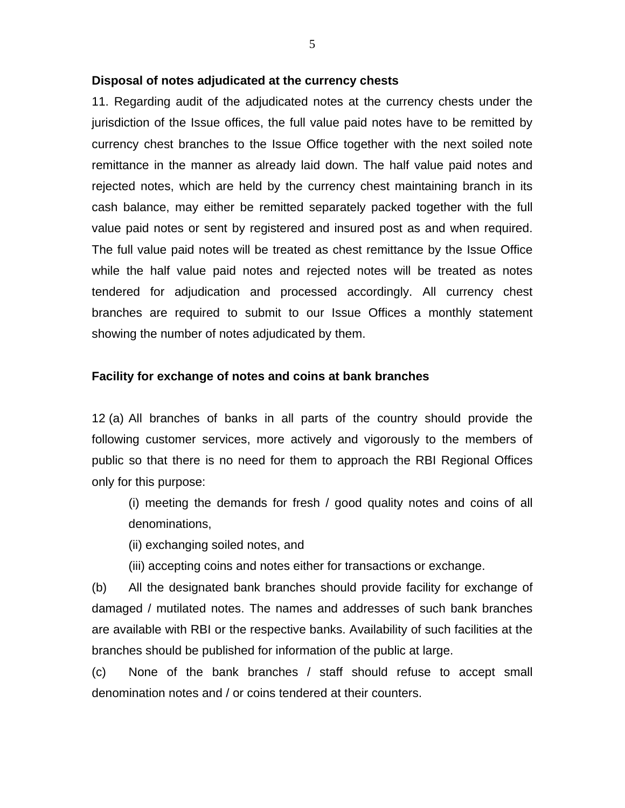## **Disposal of notes adjudicated at the currency chests**

11. Regarding audit of the adjudicated notes at the currency chests under the jurisdiction of the Issue offices, the full value paid notes have to be remitted by currency chest branches to the Issue Office together with the next soiled note remittance in the manner as already laid down. The half value paid notes and rejected notes, which are held by the currency chest maintaining branch in its cash balance, may either be remitted separately packed together with the full value paid notes or sent by registered and insured post as and when required. The full value paid notes will be treated as chest remittance by the Issue Office while the half value paid notes and rejected notes will be treated as notes tendered for adjudication and processed accordingly. All currency chest branches are required to submit to our Issue Offices a monthly statement showing the number of notes adjudicated by them.

## **Facility for exchange of notes and coins at bank branches**

12 (a) All branches of banks in all parts of the country should provide the following customer services, more actively and vigorously to the members of public so that there is no need for them to approach the RBI Regional Offices only for this purpose:

(i) meeting the demands for fresh / good quality notes and coins of all denominations,

(ii) exchanging soiled notes, and

(iii) accepting coins and notes either for transactions or exchange.

(b) All the designated bank branches should provide facility for exchange of damaged / mutilated notes. The names and addresses of such bank branches are available with RBI or the respective banks. Availability of such facilities at the branches should be published for information of the public at large.

(c) None of the bank branches / staff should refuse to accept small denomination notes and / or coins tendered at their counters.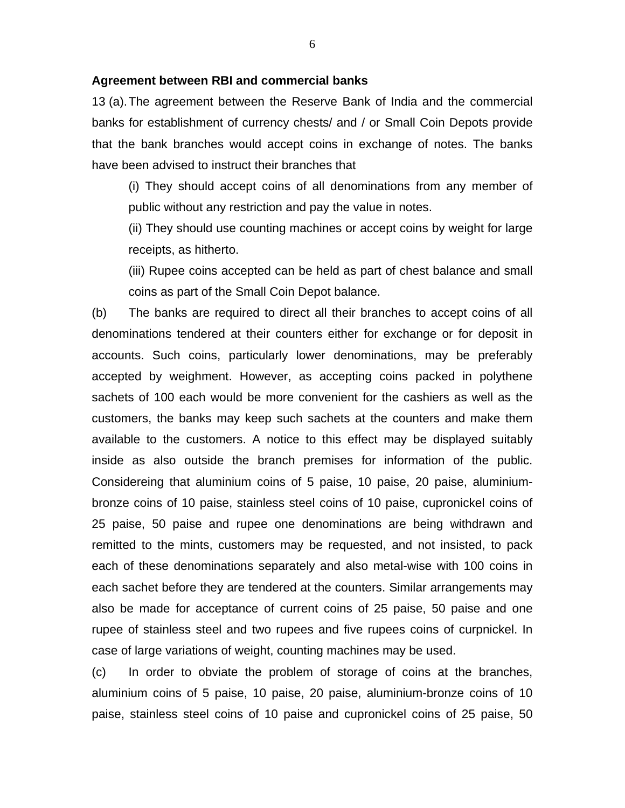#### **Agreement between RBI and commercial banks**

13 (a).The agreement between the Reserve Bank of India and the commercial banks for establishment of currency chests/ and / or Small Coin Depots provide that the bank branches would accept coins in exchange of notes. The banks have been advised to instruct their branches that

(i) They should accept coins of all denominations from any member of public without any restriction and pay the value in notes.

(ii) They should use counting machines or accept coins by weight for large receipts, as hitherto.

(iii) Rupee coins accepted can be held as part of chest balance and small coins as part of the Small Coin Depot balance.

(b) The banks are required to direct all their branches to accept coins of all denominations tendered at their counters either for exchange or for deposit in accounts. Such coins, particularly lower denominations, may be preferably accepted by weighment. However, as accepting coins packed in polythene sachets of 100 each would be more convenient for the cashiers as well as the customers, the banks may keep such sachets at the counters and make them available to the customers. A notice to this effect may be displayed suitably inside as also outside the branch premises for information of the public. Considereing that aluminium coins of 5 paise, 10 paise, 20 paise, aluminiumbronze coins of 10 paise, stainless steel coins of 10 paise, cupronickel coins of 25 paise, 50 paise and rupee one denominations are being withdrawn and remitted to the mints, customers may be requested, and not insisted, to pack each of these denominations separately and also metal-wise with 100 coins in each sachet before they are tendered at the counters. Similar arrangements may also be made for acceptance of current coins of 25 paise, 50 paise and one rupee of stainless steel and two rupees and five rupees coins of curpnickel. In case of large variations of weight, counting machines may be used.

(c) In order to obviate the problem of storage of coins at the branches, aluminium coins of 5 paise, 10 paise, 20 paise, aluminium-bronze coins of 10 paise, stainless steel coins of 10 paise and cupronickel coins of 25 paise, 50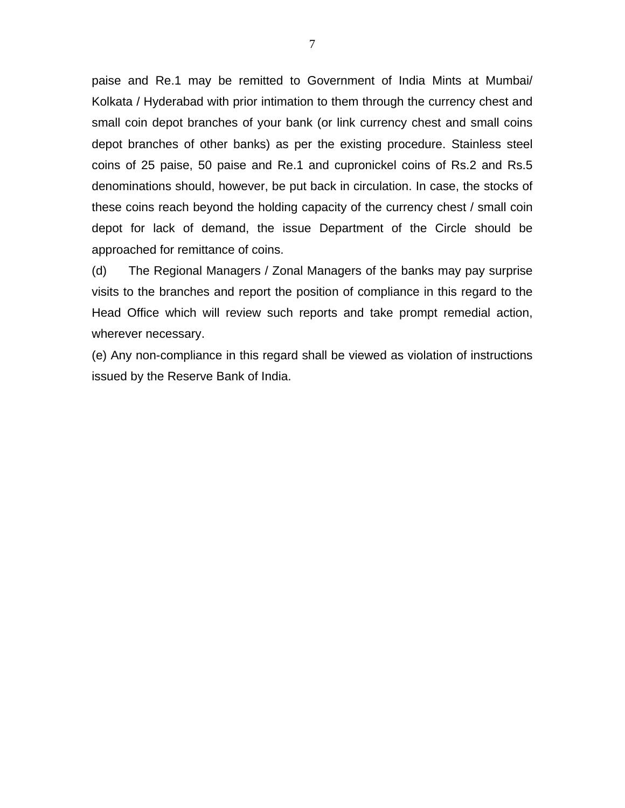paise and Re.1 may be remitted to Government of India Mints at Mumbai/ Kolkata / Hyderabad with prior intimation to them through the currency chest and small coin depot branches of your bank (or link currency chest and small coins depot branches of other banks) as per the existing procedure. Stainless steel coins of 25 paise, 50 paise and Re.1 and cupronickel coins of Rs.2 and Rs.5 denominations should, however, be put back in circulation. In case, the stocks of these coins reach beyond the holding capacity of the currency chest / small coin depot for lack of demand, the issue Department of the Circle should be approached for remittance of coins.

(d) The Regional Managers / Zonal Managers of the banks may pay surprise visits to the branches and report the position of compliance in this regard to the Head Office which will review such reports and take prompt remedial action, wherever necessary.

(e) Any non-compliance in this regard shall be viewed as violation of instructions issued by the Reserve Bank of India.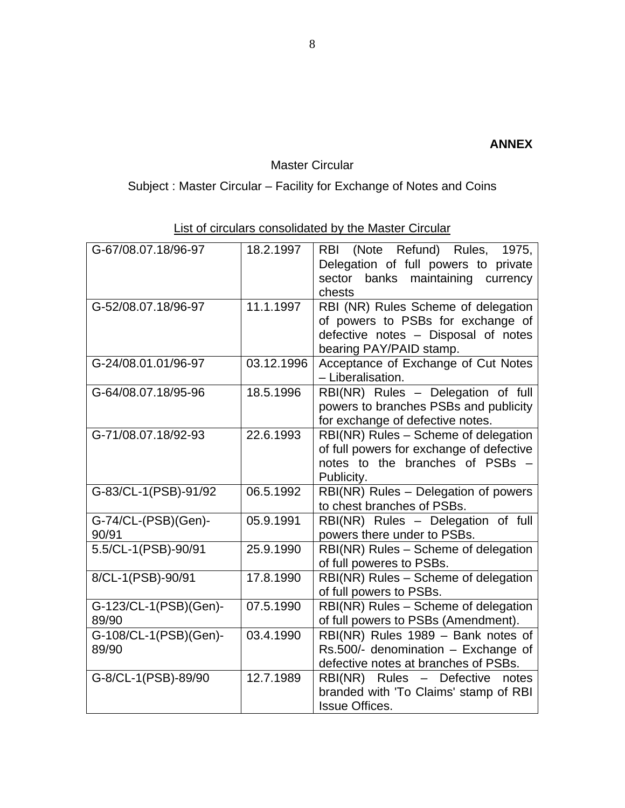# Master Circular

# Subject : Master Circular – Facility for Exchange of Notes and Coins

| G-67/08.07.18/96-97            | 18.2.1997  | (Note Refund) Rules, 1975,<br><b>RBI</b><br>Delegation of full powers to private<br>sector<br>maintaining<br>banks<br>currency<br>chests   |  |
|--------------------------------|------------|--------------------------------------------------------------------------------------------------------------------------------------------|--|
| G-52/08.07.18/96-97            | 11.1.1997  | RBI (NR) Rules Scheme of delegation<br>of powers to PSBs for exchange of<br>defective notes - Disposal of notes<br>bearing PAY/PAID stamp. |  |
| G-24/08.01.01/96-97            | 03.12.1996 | Acceptance of Exchange of Cut Notes<br>- Liberalisation.                                                                                   |  |
| G-64/08.07.18/95-96            | 18.5.1996  | RBI(NR) Rules - Delegation of full<br>powers to branches PSBs and publicity<br>for exchange of defective notes.                            |  |
| G-71/08.07.18/92-93            | 22.6.1993  | RBI(NR) Rules - Scheme of delegation<br>of full powers for exchange of defective<br>notes to the branches of PSBs<br>Publicity.            |  |
| G-83/CL-1(PSB)-91/92           | 06.5.1992  | RBI(NR) Rules - Delegation of powers<br>to chest branches of PSBs.                                                                         |  |
| G-74/CL-(PSB)(Gen)-<br>90/91   | 05.9.1991  | RBI(NR) Rules - Delegation of full<br>powers there under to PSBs.                                                                          |  |
| 5.5/CL-1(PSB)-90/91            | 25.9.1990  | RBI(NR) Rules - Scheme of delegation<br>of full poweres to PSBs.                                                                           |  |
| 8/CL-1(PSB)-90/91              | 17.8.1990  | RBI(NR) Rules - Scheme of delegation<br>of full powers to PSBs.                                                                            |  |
| G-123/CL-1(PSB)(Gen)-<br>89/90 | 07.5.1990  | RBI(NR) Rules - Scheme of delegation<br>of full powers to PSBs (Amendment).                                                                |  |
| G-108/CL-1(PSB)(Gen)-<br>89/90 | 03.4.1990  | RBI(NR) Rules 1989 - Bank notes of<br>Rs.500/- denomination - Exchange of<br>defective notes at branches of PSBs.                          |  |
| G-8/CL-1(PSB)-89/90            | 12.7.1989  | RBI(NR) Rules - Defective<br>notes<br>branded with 'To Claims' stamp of RBI<br><b>Issue Offices.</b>                                       |  |

List of circulars consolidated by the Master Circular